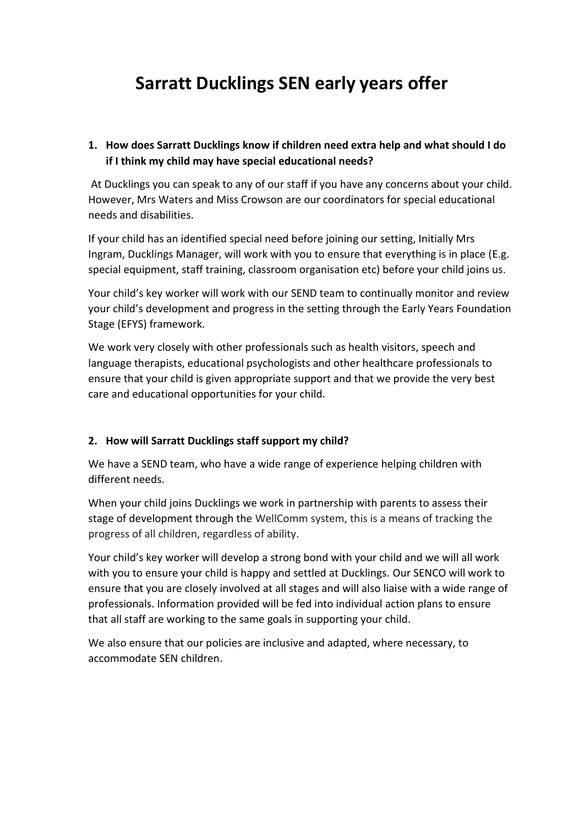# **Sarratt Ducklings SEN early years offer**

## **1. How does Sarratt Ducklings know if children need extra help and what should I do if I think my child may have special educational needs?**

At Ducklings you can speak to any of our staff if you have any concerns about your child. However, Mrs Waters and Miss Crowson are our coordinators for special educational needs and disabilities.

If your child has an identified special need before joining our setting, Initially Mrs Ingram, Ducklings Manager, will work with you to ensure that everything is in place (E.g. special equipment, staff training, classroom organisation etc) before your child joins us.

Your child's key worker will work with our SEND team to continually monitor and review your child's development and progress in the setting through the Early Years Foundation Stage (EFYS) framework.

We work very closely with other professionals such as health visitors, speech and language therapists, educational psychologists and other healthcare professionals to ensure that your child is given appropriate support and that we provide the very best care and educational opportunities for your child.

#### **2. How will Sarratt Ducklings staff support my child?**

We have a SEND team, who have a wide range of experience helping children with different needs.

When your child joins Ducklings we work in partnership with parents to assess their stage of development through the WellComm system, this is a means of tracking the progress of all children, regardless of ability.

Your child's key worker will develop a strong bond with your child and we will all work with you to ensure your child is happy and settled at Ducklings. Our SENCO will work to ensure that you are closely involved at all stages and will also liaise with a wide range of professionals. Information provided will be fed into individual action plans to ensure that all staff are working to the same goals in supporting your child.

We also ensure that our policies are inclusive and adapted, where necessary, to accommodate SEN children.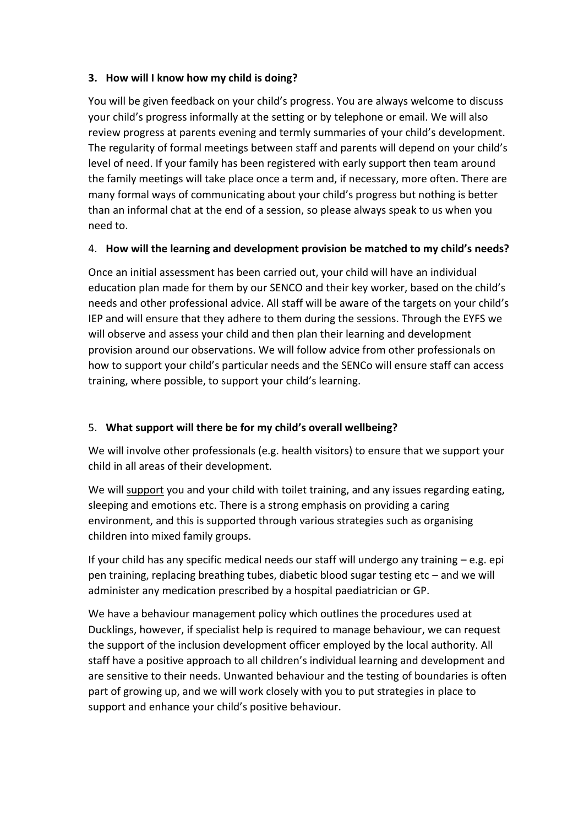#### **3. How will I know how my child is doing?**

You will be given feedback on your child's progress. You are always welcome to discuss your child's progress informally at the setting or by telephone or email. We will also review progress at parents evening and termly summaries of your child's development. The regularity of formal meetings between staff and parents will depend on your child's level of need. If your family has been registered with early support then team around the family meetings will take place once a term and, if necessary, more often. There are many formal ways of communicating about your child's progress but nothing is better than an informal chat at the end of a session, so please always speak to us when you need to.

#### 4. **How will the learning and development provision be matched to my child's needs?**

Once an initial assessment has been carried out, your child will have an individual education plan made for them by our SENCO and their key worker, based on the child's needs and other professional advice. All staff will be aware of the targets on your child's IEP and will ensure that they adhere to them during the sessions. Through the EYFS we will observe and assess your child and then plan their learning and development provision around our observations. We will follow advice from other professionals on how to support your child's particular needs and the SENCo will ensure staff can access training, where possible, to support your child's learning.

## 5. **What support will there be for my child's overall wellbeing?**

We will involve other professionals (e.g. health visitors) to ensure that we support your child in all areas of their development.

We will support you and your child with toilet training, and any issues regarding eating, sleeping and emotions etc. There is a strong emphasis on providing a caring environment, and this is supported through various strategies such as organising children into mixed family groups.

If your child has any specific medical needs our staff will undergo any training  $-e.g.$  epi pen training, replacing breathing tubes, diabetic blood sugar testing etc – and we will administer any medication prescribed by a hospital paediatrician or GP.

We have a behaviour management policy which outlines the procedures used at Ducklings, however, if specialist help is required to manage behaviour, we can request the support of the inclusion development officer employed by the local authority. All staff have a positive approach to all children's individual learning and development and are sensitive to their needs. Unwanted behaviour and the testing of boundaries is often part of growing up, and we will work closely with you to put strategies in place to support and enhance your child's positive behaviour.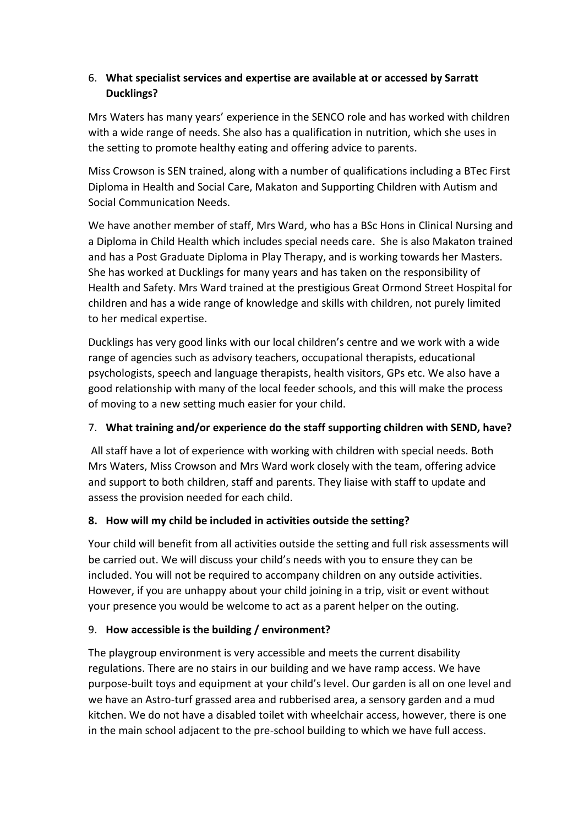## 6. **What specialist services and expertise are available at or accessed by Sarratt Ducklings?**

Mrs Waters has many years' experience in the SENCO role and has worked with children with a wide range of needs. She also has a qualification in nutrition, which she uses in the setting to promote healthy eating and offering advice to parents.

Miss Crowson is SEN trained, along with a number of qualifications including a BTec First Diploma in Health and Social Care, Makaton and Supporting Children with Autism and Social Communication Needs.

We have another member of staff, Mrs Ward, who has a BSc Hons in Clinical Nursing and a Diploma in Child Health which includes special needs care. She is also Makaton trained and has a Post Graduate Diploma in Play Therapy, and is working towards her Masters. She has worked at Ducklings for many years and has taken on the responsibility of Health and Safety. Mrs Ward trained at the prestigious Great Ormond Street Hospital for children and has a wide range of knowledge and skills with children, not purely limited to her medical expertise.

Ducklings has very good links with our local children's centre and we work with a wide range of agencies such as advisory teachers, occupational therapists, educational psychologists, speech and language therapists, health visitors, GPs etc. We also have a good relationship with many of the local feeder schools, and this will make the process of moving to a new setting much easier for your child.

## 7. **What training and/or experience do the staff supporting children with SEND, have?**

All staff have a lot of experience with working with children with special needs. Both Mrs Waters, Miss Crowson and Mrs Ward work closely with the team, offering advice and support to both children, staff and parents. They liaise with staff to update and assess the provision needed for each child.

## **8. How will my child be included in activities outside the setting?**

Your child will benefit from all activities outside the setting and full risk assessments will be carried out. We will discuss your child's needs with you to ensure they can be included. You will not be required to accompany children on any outside activities. However, if you are unhappy about your child joining in a trip, visit or event without your presence you would be welcome to act as a parent helper on the outing.

# 9. **How accessible is the building / environment?**

The playgroup environment is very accessible and meets the current disability regulations. There are no stairs in our building and we have ramp access. We have purpose-built toys and equipment at your child's level. Our garden is all on one level and we have an Astro-turf grassed area and rubberised area, a sensory garden and a mud kitchen. We do not have a disabled toilet with wheelchair access, however, there is one in the main school adjacent to the pre-school building to which we have full access.